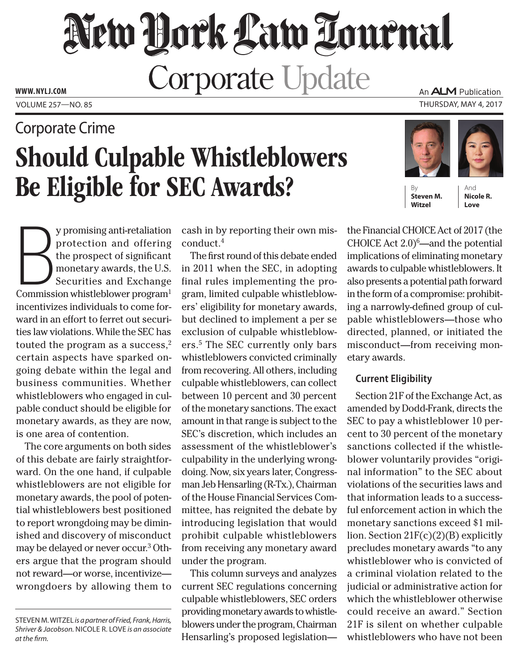# New York Law Tournal **Corporate Update www. NYLJ.com**

## Should Culpable Whistleblowers Be Eligible for SEC Awards? Corporate Crime

An ALM Publication Volume 257—NO. 85 Thursday, May 4, 2017



By **Steven M. Witzel**

And **Nicole R. Love**

y promising anti-retaliation<br>protection and offering<br>the prospect of significant<br>monetary awards, the U.S.<br>Securities and Exchange<br>Commission whistleblower program<sup>1</sup> y promising anti-retaliation protection and offering the prospect of significant monetary awards, the U.S. Securities and Exchange incentivizes individuals to come forward in an effort to ferret out securities law violations. While the SEC has touted the program as a success, $2$ certain aspects have sparked ongoing debate within the legal and business communities. Whether whistleblowers who engaged in culpable conduct should be eligible for monetary awards, as they are now, is one area of contention.

The core arguments on both sides of this debate are fairly straightforward. On the one hand, if culpable whistleblowers are not eligible for monetary awards, the pool of potential whistleblowers best positioned to report wrongdoing may be diminished and discovery of misconduct may be delayed or never occur.<sup>3</sup> Others argue that the program should not reward—or worse, incentivize wrongdoers by allowing them to cash in by reporting their own misconduct.4

The first round of this debate ended in 2011 when the SEC, in adopting final rules implementing the program, limited culpable whistleblowers' eligibility for monetary awards, but declined to implement a per se exclusion of culpable whistleblowers.5 The SEC currently only bars whistleblowers convicted criminally from recovering. All others, including culpable whistleblowers, can collect between 10 percent and 30 percent of the monetary sanctions. The exact amount in that range is subject to the SEC's discretion, which includes an assessment of the whistleblower's culpability in the underlying wrongdoing. Now, six years later, Congressman Jeb Hensarling (R-Tx.), Chairman of the House Financial Services Committee, has reignited the debate by introducing legislation that would prohibit culpable whistleblowers from receiving any monetary award under the program.

This column surveys and analyzes current SEC regulations concerning culpable whistleblowers, SEC orders providing monetary awards to whistleblowers under the program, Chairman Hensarling's proposed legislationthe Financial CHOICE Act of 2017 (the CHOICE Act  $2.0$ <sup>6</sup>—and the potential implications of eliminating monetary awards to culpable whistleblowers. It also presents a potential path forward in the form of a compromise: prohibiting a narrowly-defined group of culpable whistleblowers—those who directed, planned, or initiated the misconduct—from receiving monetary awards.

### **Current Eligibility**

Section 21F of the Exchange Act, as amended by Dodd-Frank, directs the SEC to pay a whistleblower 10 percent to 30 percent of the monetary sanctions collected if the whistleblower voluntarily provides "original information" to the SEC about violations of the securities laws and that information leads to a successful enforcement action in which the monetary sanctions exceed \$1 million. Section  $21F(c)(2)(B)$  explicitly precludes monetary awards "to any whistleblower who is convicted of a criminal violation related to the judicial or administrative action for which the whistleblower otherwise could receive an award." Section 21F is silent on whether culpable whistleblowers who have not been

Steven M. Witzel *is a partner of Fried, Frank, Harris, Shriver & Jacobson.* Nicole R. Love *is an associate at the firm.*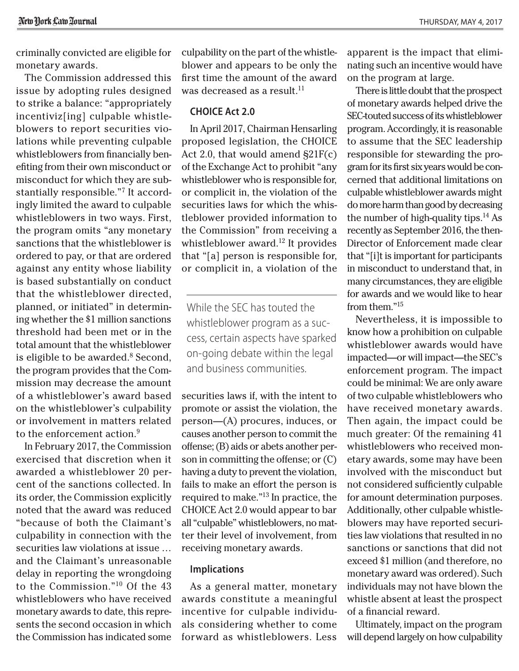criminally convicted are eligible for monetary awards.

The Commission addressed this issue by adopting rules designed to strike a balance: "appropriately incentiviz[ing] culpable whistleblowers to report securities violations while preventing culpable whistleblowers from financially benefiting from their own misconduct or misconduct for which they are substantially responsible."7 It accordingly limited the award to culpable whistleblowers in two ways. First, the program omits "any monetary sanctions that the whistleblower is ordered to pay, or that are ordered against any entity whose liability is based substantially on conduct that the whistleblower directed, planned, or initiated" in determining whether the \$1 million sanctions threshold had been met or in the total amount that the whistleblower is eligible to be awarded. $8$  Second, the program provides that the Commission may decrease the amount of a whistleblower's award based on the whistleblower's culpability or involvement in matters related to the enforcement action.<sup>9</sup>

In February 2017, the Commission exercised that discretion when it awarded a whistleblower 20 percent of the sanctions collected. In its order, the Commission explicitly noted that the award was reduced "because of both the Claimant's culpability in connection with the securities law violations at issue … and the Claimant's unreasonable delay in reporting the wrongdoing to the Commission."10 Of the 43 whistleblowers who have received monetary awards to date, this represents the second occasion in which the Commission has indicated some

culpability on the part of the whistleblower and appears to be only the first time the amount of the award was decreased as a result.<sup>11</sup>

#### **CHOICE Act 2.0**

In April 2017, Chairman Hensarling proposed legislation, the CHOICE Act 2.0, that would amend §21F(c) of the Exchange Act to prohibit "any whistleblower who is responsible for, or complicit in, the violation of the securities laws for which the whistleblower provided information to the Commission" from receiving a whistleblower award.<sup>12</sup> It provides that "[a] person is responsible for, or complicit in, a violation of the

While the SEC has touted the whistleblower program as a success, certain aspects have sparked on-going debate within the legal and business communities.

securities laws if, with the intent to promote or assist the violation, the person—(A) procures, induces, or causes another person to commit the offense; (B) aids or abets another person in committing the offense; or (C) having a duty to prevent the violation, fails to make an effort the person is required to make."13 In practice, the CHOICE Act 2.0 would appear to bar all "culpable" whistleblowers, no matter their level of involvement, from receiving monetary awards.

#### **Implications**

As a general matter, monetary awards constitute a meaningful incentive for culpable individuals considering whether to come forward as whistleblowers. Less

apparent is the impact that eliminating such an incentive would have on the program at large.

There is little doubt that the prospect of monetary awards helped drive the SEC-touted success of its whistleblower program. Accordingly, it is reasonable to assume that the SEC leadership responsible for stewarding the program for its first six years would be concerned that additional limitations on culpable whistleblower awards might do more harm than good by decreasing the number of high-quality tips. $14$  As recently as September 2016, the then-Director of Enforcement made clear that "[i]t is important for participants in misconduct to understand that, in many circumstances, they are eligible for awards and we would like to hear from them."15

Nevertheless, it is impossible to know how a prohibition on culpable whistleblower awards would have impacted—or will impact—the SEC's enforcement program. The impact could be minimal: We are only aware of two culpable whistleblowers who have received monetary awards. Then again, the impact could be much greater: Of the remaining 41 whistleblowers who received monetary awards, some may have been involved with the misconduct but not considered sufficiently culpable for amount determination purposes. Additionally, other culpable whistleblowers may have reported securities law violations that resulted in no sanctions or sanctions that did not exceed \$1 million (and therefore, no monetary award was ordered). Such individuals may not have blown the whistle absent at least the prospect of a financial reward.

Ultimately, impact on the program will depend largely on how culpability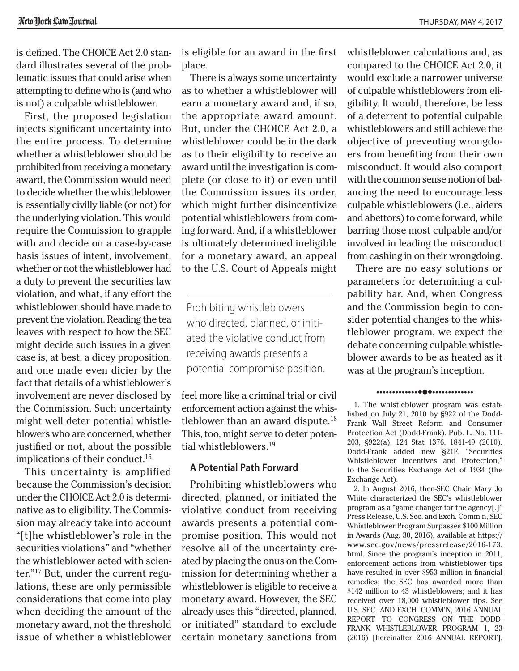is defined. The CHOICE Act 2.0 standard illustrates several of the problematic issues that could arise when attempting to define who is (and who is not) a culpable whistleblower.

First, the proposed legislation injects significant uncertainty into the entire process. To determine whether a whistleblower should be prohibited from receiving a monetary award, the Commission would need to decide whether the whistleblower is essentially civilly liable (or not) for the underlying violation. This would require the Commission to grapple with and decide on a case-by-case basis issues of intent, involvement, whether or not the whistleblower had a duty to prevent the securities law violation, and what, if any effort the whistleblower should have made to prevent the violation. Reading the tea leaves with respect to how the SEC might decide such issues in a given case is, at best, a dicey proposition, and one made even dicier by the fact that details of a whistleblower's involvement are never disclosed by the Commission. Such uncertainty might well deter potential whistleblowers who are concerned, whether justified or not, about the possible implications of their conduct.16

This uncertainty is amplified because the Commission's decision under the CHOICE Act 2.0 is determinative as to eligibility. The Commission may already take into account "[t]he whistleblower's role in the securities violations" and "whether the whistleblower acted with scienter."17 But, under the current regulations, these are only permissible considerations that come into play when deciding the amount of the monetary award, not the threshold issue of whether a whistleblower is eligible for an award in the first place.

There is always some uncertainty as to whether a whistleblower will earn a monetary award and, if so, the appropriate award amount. But, under the CHOICE Act 2.0, a whistleblower could be in the dark as to their eligibility to receive an award until the investigation is complete (or close to it) or even until the Commission issues its order, which might further disincentivize potential whistleblowers from coming forward. And, if a whistleblower is ultimately determined ineligible for a monetary award, an appeal to the U.S. Court of Appeals might

Prohibiting whistleblowers who directed, planned, or initiated the violative conduct from receiving awards presents a potential compromise position.

feel more like a criminal trial or civil enforcement action against the whistleblower than an award dispute. $18$ This, too, might serve to deter potential whistleblowers.19

#### **A Potential Path Forward**

Prohibiting whistleblowers who directed, planned, or initiated the violative conduct from receiving awards presents a potential compromise position. This would not resolve all of the uncertainty created by placing the onus on the Commission for determining whether a whistleblower is eligible to receive a monetary award. However, the SEC already uses this "directed, planned, or initiated" standard to exclude certain monetary sanctions from whistleblower calculations and, as compared to the CHOICE Act 2.0, it would exclude a narrower universe of culpable whistleblowers from eligibility. It would, therefore, be less of a deterrent to potential culpable whistleblowers and still achieve the objective of preventing wrongdoers from benefiting from their own misconduct. It would also comport with the common sense notion of balancing the need to encourage less culpable whistleblowers (i.e., aiders and abettors) to come forward, while barring those most culpable and/or involved in leading the misconduct from cashing in on their wrongdoing.

There are no easy solutions or parameters for determining a culpability bar. And, when Congress and the Commission begin to consider potential changes to the whistleblower program, we expect the debate concerning culpable whistleblower awards to be as heated as it was at the program's inception.

#### •••••••••••••••••••••••••••••

1. The whistleblower program was established on July 21, 2010 by §922 of the Dodd-Frank Wall Street Reform and Consumer Protection Act (Dodd-Frank). Pub. L. No. 111- 203, §922(a), 124 Stat 1376, 1841-49 (2010). Dodd-Frank added new §21F, "Securities Whistleblower Incentives and Protection," to the Securities Exchange Act of 1934 (the Exchange Act).

2. In August 2016, then-SEC Chair Mary Jo White characterized the SEC's whistleblower program as a "game changer for the agency[.]" Press Release, U.S. Sec. and Exch. Comm'n, SEC Whistleblower Program Surpasses \$100 Million in Awards (Aug. 30, 2016), available at [https://](https://www.sec.gov/news/pressrelease/2016-173.html) [www.sec.gov/news/pressrelease/2016-173.](https://www.sec.gov/news/pressrelease/2016-173.html) [html.](https://www.sec.gov/news/pressrelease/2016-173.html) Since the program's inception in 2011, enforcement actions from whistleblower tips have resulted in over \$953 million in financial remedies; the SEC has awarded more than \$142 million to 43 whistleblowers; and it has received over 18,000 whistleblower tips. See U.S. SEC. AND EXCH. COMM'N, 2016 ANNUAL REPORT TO CONGRESS ON THE DODD-FRANK WHISTLEBLOWER PROGRAM 1, 23 (2016) [hereinafter 2016 ANNUAL REPORT],